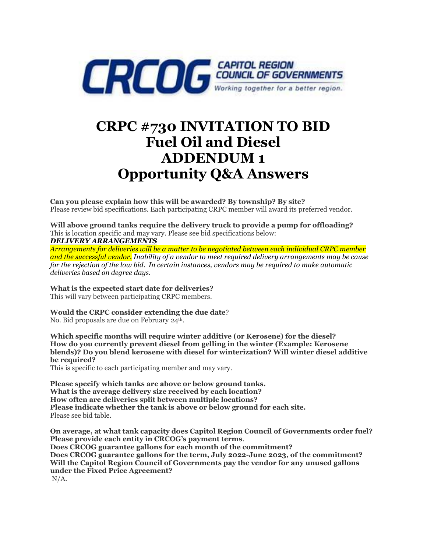

# **CRPC #730 INVITATION TO BID Fuel Oil and Diesel ADDENDUM 1 Opportunity Q&A Answers**

**Can you please explain how this will be awarded? By township? By site?** Please review bid specifications. Each participating CRPC member will award its preferred vendor.

**Will above ground tanks require the delivery truck to provide a pump for offloading?** This is location specific and may vary. Please see bid specifications below: *DELIVERY ARRANGEMENTS*

*Arrangements for deliveries will be a matter to be negotiated between each individual CRPC member and the successful vendor. Inability of a vendor to meet required delivery arrangements may be cause for the rejection of the low bid. In certain instances, vendors may be required to make automatic deliveries based on degree days.*

**What is the expected start date for deliveries?**

This will vary between participating CRPC members.

**Would the CRPC consider extending the due date**? No. Bid proposals are due on February 24<sup>th</sup>.

**Which specific months will require winter additive (or Kerosene) for the diesel? How do you currently prevent diesel from gelling in the winter (Example: Kerosene blends)? Do you blend kerosene with diesel for winterization? Will winter diesel additive be required?**

This is specific to each participating member and may vary.

**Please specify which tanks are above or below ground tanks. What is the average delivery size received by each location? How often are deliveries split between multiple locations? Please indicate whether the tank is above or below ground for each site.** Please see bid table.

**On average, at what tank capacity does Capitol Region Council of Governments order fuel? Please provide each entity in CRCOG's payment terms**. **Does CRCOG guarantee gallons for each month of the commitment? Does CRCOG guarantee gallons for the term, July 2022-June 2023, of the commitment? Will the Capitol Region Council of Governments pay the vendor for any unused gallons under the Fixed Price Agreement?** N/A.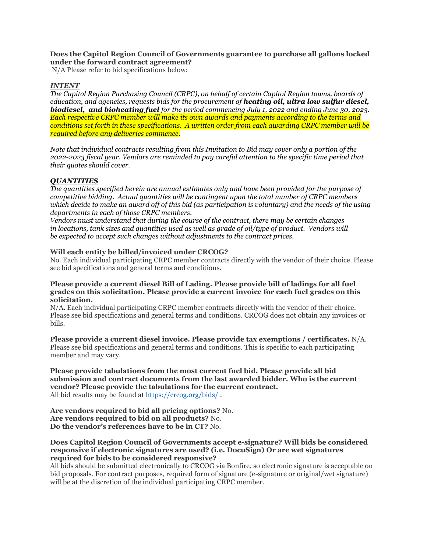## **Does the Capitol Region Council of Governments guarantee to purchase all gallons locked under the forward contract agreement?**

N/A Please refer to bid specifications below:

## *INTENT*

*The Capitol Region Purchasing Council (CRPC), on behalf of certain Capitol Region towns, boards of education, and agencies, requests bids for the procurement of heating oil, ultra low sulfur diesel, biodiesel, and bioheating fuel for the period commencing July 1, 2022 and ending June 30, 2023. Each respective CRPC member will make its own awards and payments according to the terms and conditions set forth in these specifications. A written order from each awarding CRPC member will be required before any deliveries commence.*

*Note that individual contracts resulting from this Invitation to Bid may cover only a portion of the 2022-2023 fiscal year. Vendors are reminded to pay careful attention to the specific time period that their quotes should cover.*

# *QUANTITIES*

*The quantities specified herein are annual estimates only and have been provided for the purpose of competitive bidding. Actual quantities will be contingent upon the total number of CRPC members which decide to make an award off of this bid (as participation is voluntary) and the needs of the using departments in each of those CRPC members.*

*Vendors must understand that during the course of the contract, there may be certain changes in locations, tank sizes and quantities used as well as grade of oil/type of product. Vendors will be expected to accept such changes without adjustments to the contract prices.*

#### **Will each entity be billed/invoiced under CRCOG?**

No. Each individual participating CRPC member contracts directly with the vendor of their choice. Please see bid specifications and general terms and conditions.

#### **Please provide a current diesel Bill of Lading. Please provide bill of ladings for all fuel grades on this solicitation. Please provide a current invoice for each fuel grades on this solicitation.**

N/A. Each individual participating CRPC member contracts directly with the vendor of their choice. Please see bid specifications and general terms and conditions. CRCOG does not obtain any invoices or bills.

**Please provide a current diesel invoice. Please provide tax exemptions / certificates.** N/A. Please see bid specifications and general terms and conditions. This is specific to each participating member and may vary.

#### **Please provide tabulations from the most current fuel bid. Please provide all bid submission and contract documents from the last awarded bidder. Who is the current vendor? Please provide the tabulations for the current contract.** All bid results may be found at<https://crcog.org/bids/> .

**Are vendors required to bid all pricing options?** No. **Are vendors required to bid on all products?** No. **Do the vendor's references have to be in CT?** No.

#### **Does Capitol Region Council of Governments accept e-signature? Will bids be considered responsive if electronic signatures are used? (i.e. DocuSign) Or are wet signatures required for bids to be considered responsive?**

All bids should be submitted electronically to CRCOG via Bonfire, so electronic signature is acceptable on bid proposals. For contract purposes, required form of signature (e-signature or original/wet signature) will be at the discretion of the individual participating CRPC member.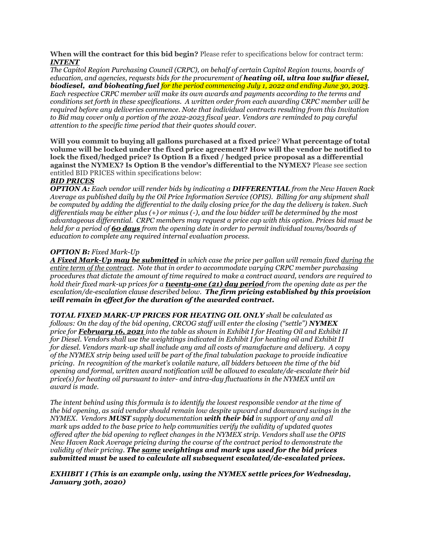**When will the contract for this bid begin?** Please refer to specifications below for contract term: *INTENT*

*The Capitol Region Purchasing Council (CRPC), on behalf of certain Capitol Region towns, boards of education, and agencies, requests bids for the procurement of heating oil, ultra low sulfur diesel, biodiesel, and bioheating fuel for the period commencing July 1, 2022 and ending June 30, 2023. Each respective CRPC member will make its own awards and payments according to the terms and conditions set forth in these specifications. A written order from each awarding CRPC member will be required before any deliveries commence. Note that individual contracts resulting from this Invitation to Bid may cover only a portion of the 2022-2023 fiscal year. Vendors are reminded to pay careful attention to the specific time period that their quotes should cover.*

**Will you commit to buying all gallons purchased at a fixed price**? **What percentage of total volume will be locked under the fixed price agreement? How will the vendor be notified to lock the fixed/hedged price? Is Option B a fixed / hedged price proposal as a differential against the NYMEX? Is Option B the vendor's differential to the NYMEX?** Please see section entitled BID PRICES within specifications below:

# *BID PRICES*

*OPTION A: Each vendor will render bids by indicating a DIFFERENTIAL from the New Haven Rack Average as published daily by the Oil Price Information Service (OPIS). Billing for any shipment shall be computed by adding the differential to the daily closing price for the day the delivery is taken. Such differentials may be either plus (+) or minus (-), and the low bidder will be determined by the most advantageous differential. CRPC members may request a price cap with this option. Prices bid must be held for a period of 60 days from the opening date in order to permit individual towns/boards of education to complete any required internal evaluation process.*

## *OPTION B: Fixed Mark-Up*

*A Fixed Mark-Up may be submitted in which case the price per gallon will remain fixed during the entire term of the contract. Note that in order to accommodate varying CRPC member purchasing procedures that dictate the amount of time required to make a contract award, vendors are required to hold their fixed mark-up prices for a twenty-one (21) day period from the opening date as per the escalation/de-escalation clause described below. The firm pricing established by this provision will remain in effect for the duration of the awarded contract.*

*TOTAL FIXED MARK-UP PRICES FOR HEATING OIL ONLY shall be calculated as follows: On the day of the bid opening, CRCOG staff will enter the closing ("settle") NYMEX price for February 16, 2021 into the table as shown in Exhibit I for Heating Oil and Exhibit II for Diesel. Vendors shall use the weightings indicated in Exhibit I for heating oil and Exhibit II for diesel. Vendors mark-up shall include any and all costs of manufacture and delivery. A copy of the NYMEX strip being used will be part of the final tabulation package to provide indicative pricing. In recognition of the market's volatile nature, all bidders between the time of the bid opening and formal, written award notification will be allowed to escalate/de-escalate their bid price(s) for heating oil pursuant to inter- and intra-day fluctuations in the NYMEX until an award is made.* 

*The intent behind using this formula is to identify the lowest responsible vendor at the time of the bid opening, as said vendor should remain low despite upward and downward swings in the NYMEX. Vendors MUST supply documentation with their bid in support of any and all mark ups added to the base price to help communities verify the validity of updated quotes offered after the bid opening to reflect changes in the NYMEX strip. Vendors shall use the OPIS New Haven Rack Average pricing during the course of the contract period to demonstrate the validity of their pricing. The same weightings and mark ups used for the bid prices submitted must be used to calculate all subsequent escalated/de-escalated prices.* 

# *EXHIBIT I (This is an example only, using the NYMEX settle prices for Wednesday, January 30th, 2020)*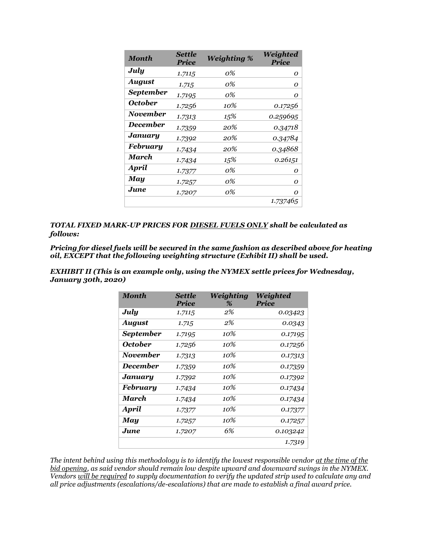| <b>Month</b>          | <b>Settle</b><br><b>Price</b> | <b>Weighting %</b> | Weighted<br><b>Price</b> |
|-----------------------|-------------------------------|--------------------|--------------------------|
| July                  | 1.7115                        | 0%                 | 0                        |
| <b>August</b>         | 1.715                         | 0%                 | Ω                        |
| <b>September</b>      | 1.7195                        | 0%                 | Ο                        |
| <i><b>October</b></i> | 1.7256                        | 10%                | 0.17256                  |
| <b>November</b>       | 1.7313                        | 15%                | 0.259695                 |
| <b>December</b>       | 1.7359                        | 20%                | 0.34718                  |
| January               | 1.7392                        | 20%                | 0.34784                  |
| <b>February</b>       | 1.7434                        | 20%                | 0.34868                  |
| March                 | 1.7434                        | 15%                | 0.26151                  |
| <b>April</b>          | 1.7377                        | 0%                 | Ω                        |
| May                   | 1.7257                        | 0%                 | Ω                        |
| June                  | 1.7207                        | 0%                 | Ω                        |
|                       |                               |                    | 1.737465                 |

*TOTAL FIXED MARK-UP PRICES FOR DIESEL FUELS ONLY shall be calculated as follows:*

*Pricing for diesel fuels will be secured in the same fashion as described above for heating oil, EXCEPT that the following weighting structure (Exhibit II) shall be used.* 

*EXHIBIT II (This is an example only, using the NYMEX settle prices for Wednesday, January 30th, 2020)*

| <b>Month</b>     | <b>Settle</b><br><b>Price</b> | Weighting<br>% | Weighted<br><b>Price</b> |
|------------------|-------------------------------|----------------|--------------------------|
| July             | 1.7115                        | 2%             | 0.03423                  |
| <b>August</b>    | 1.715                         | 2%             | 0.0343                   |
| <b>September</b> | 1.7195                        | 10%            | 0.17195                  |
| October          | 1.7256                        | 10%            | 0.17256                  |
| <b>November</b>  | 1.7313                        | 10%            | 0.17313                  |
| <b>December</b>  | 1.7359                        | $10\%$         | 0.17359                  |
| January          | 1.7392                        | 10%            | 0.17392                  |
| <b>February</b>  | 1.7434                        | 10%            | 0.17434                  |
| March            | 1.7434                        | 10%            | 0.17434                  |
| <b>April</b>     | 1.7377                        | 10%            | 0.17377                  |
| May              | 1.7257                        | 10%            | 0.17257                  |
| June.            | 1.7207                        | 6%             | 0.103242                 |
|                  |                               |                | 1.7319                   |

*The intent behind using this methodology is to identify the lowest responsible vendor at the time of the bid opening, as said vendor should remain low despite upward and downward swings in the NYMEX. Vendors will be required to supply documentation to verify the updated strip used to calculate any and all price adjustments (escalations/de-escalations) that are made to establish a final award price.*